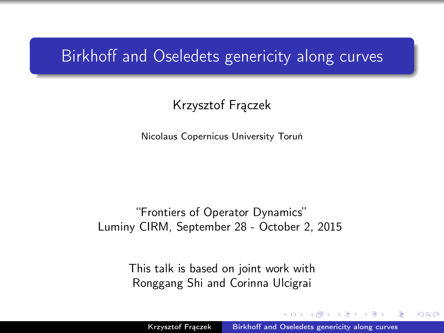### Birkhoff and Oseledets genericity along curves

### Krzysztof Frączek

Nicolaus Copernicus University Toruń

#### "Frontiers of Operator Dynamics" Luminy CIRM, September 28 - October 2, 2015

<span id="page-0-0"></span>This talk is based on joint work with Ronggang Shi and Corinna Ulcigrai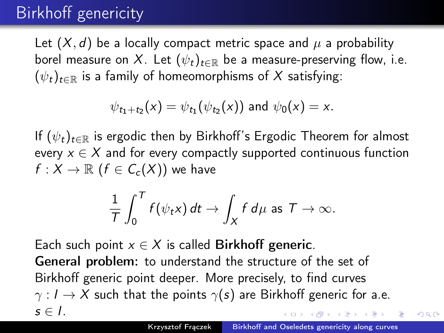## Birkhoff genericity

Let  $(X, d)$  be a locally compact metric space and  $\mu$  a probability borel measure on X. Let  $(\psi_t)_{t\in\mathbb{R}}$  be a measure-preserving flow, i.e.  $(\psi_t)_{t\in\mathbb{R}}$  is a family of homeomorphisms of X satisfying:

$$
\psi_{t_1+t_2}(x) = \psi_{t_1}(\psi_{t_2}(x))
$$
 and  $\psi_0(x) = x$ .

If  $(\psi_t)_{t\in\mathbb{R}}$  is ergodic then by Birkhoff's Ergodic Theorem for almost every  $x \in X$  and for every compactly supported continuous function  $f: X \to \mathbb{R}$   $(f \in C_c(X))$  we have

$$
\frac{1}{T}\int_0^T f(\psi_t x) dt \to \int_X f d\mu \text{ as } T \to \infty.
$$

Each such point  $x \in X$  is called Birkhoff generic. General problem: to understand the structure of the set of Birkhoff generic point deeper. More precisely, to find curves  $\gamma: I \to X$  such that the points  $\gamma(s)$  are Birkhoff generic for a.e.  $s \in I$ .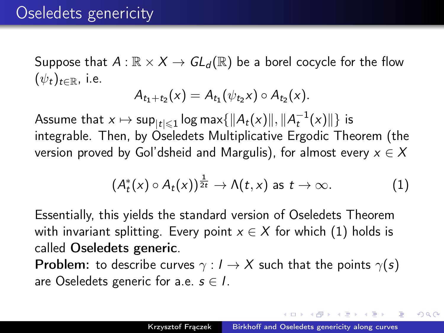Suppose that  $A : \mathbb{R} \times X \to GL_d(\mathbb{R})$  be a borel cocycle for the flow  $(\psi_t)_{t\in\mathbb{R}}$ , i.e.

$$
A_{t_1+t_2}(x) = A_{t_1}(\psi_{t_2}x) \circ A_{t_2}(x).
$$

Assume that  $x \mapsto \mathsf{sup}_{|t| \leqslant 1} \log \mathsf{max} \{ \| A_t(x) \|, \| A_t^{-1}(x) \| \}$  is integrable. Then, by Oseledets Multiplicative Ergodic Theorem (the version proved by Gol'dsheid and Margulis), for almost every  $x \in X$ 

<span id="page-2-0"></span>
$$
(A_t^*(x) \circ A_t(x))^{\frac{1}{2t}} \to \Lambda(t,x) \text{ as } t \to \infty.
$$
 (1)

Essentially, this yields the standard version of Oseledets Theorem with invariant splitting. Every point  $x \in X$  for which [\(1\)](#page-2-0) holds is called Oseledets generic.

**Problem:** to describe curves  $\gamma: I \to X$  such that the points  $\gamma(s)$ are Oseledets generic for a.e.  $s \in I$ .

<span id="page-2-1"></span>in a minimum man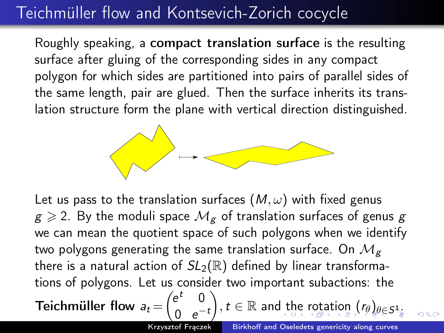## Teichmüller flow and Kontsevich-Zorich cocycle

Roughly speaking, a compact translation surface is the resulting surface after gluing of the corresponding sides in any compact polygon for which sides are partitioned into pairs of parallel sides of the same length, pair are glued. Then the surface inherits its translation structure form the plane with vertical direction distinguished.



Let us pass to the translation surfaces  $(M, \omega)$  with fixed genus  $g \geqslant 2$ . By the moduli space  $\mathcal{M}_g$  of translation surfaces of genus g we can mean the quotient space of such polygons when we identify two polygons generating the same translation surface. On  $\mathcal{M}_{g}$ there is a natural action of  $SL_2(\mathbb{R})$  defined by linear transformations of polygons. Let us consider two important subactions: the Teichmüller flow  $a_t = \begin{pmatrix} e^t & 0 \\ 0 & 0 \end{pmatrix}$ 0  $e^{-t}$  $\{e\}, t\in \mathbb{R}$  $\{e\}, t\in \mathbb{R}$  $\{e\}, t\in \mathbb{R}$  $\{e\}, t\in \mathbb{R}$  $\{e\}, t\in \mathbb{R}$  $\{e\}, t\in \mathbb{R}$  $\{e\}, t\in \mathbb{R}$  an[d t](#page-2-1)he [r](#page-2-1)[ota](#page-3-0)t[io](#page-0-0)n  $(r_{\theta})_{\theta\in \mathcal{S}^{1}}$  $(r_{\theta})_{\theta\in \mathcal{S}^{1}}$  $(r_{\theta})_{\theta\in \mathcal{S}^{1}}$  $(r_{\theta})_{\theta\in \mathcal{S}^{1}}$  $(r_{\theta})_{\theta\in \mathcal{S}^{1}}$  $(r_{\theta})_{\theta\in \mathcal{S}^{1}}$ 

<span id="page-3-0"></span> $290$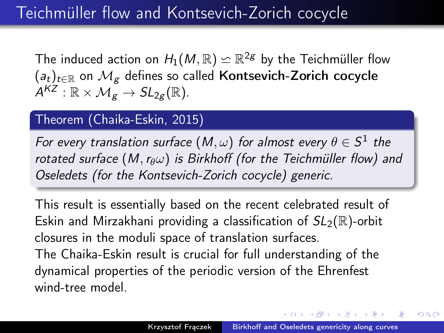The induced action on  $H_1(M,\mathbb{R})\backsimeq \mathbb{R}^{2g}$  by the Teichmüller flow  $(a_t)_{t\in\mathbb{R}}$  on  $\mathcal{M}_g$  defines so called Kontsevich-Zorich cocycle  $\mathcal{A}^{KZ}:\mathbb{R}\times\mathcal{M}_{\mathcal{g}}\rightarrow \mathit{SL}_{2g}(\mathbb{R}).$ 

### Theorem (Chaika-Eskin, 2015)

For every translation surface  $(M,\omega)$  for almost every  $\theta\in\mathcal{S}^1$  the rotated surface  $(M, r_{\theta}\omega)$  is Birkhoff (for the Teichmüller flow) and Oseledets (for the Kontsevich-Zorich cocycle) generic.

<span id="page-4-0"></span>This result is essentially based on the recent celebrated result of Eskin and Mirzakhani providing a classification of  $SL_2(\mathbb{R})$ -orbit closures in the moduli space of translation surfaces. The Chaika-Eskin result is crucial for full understanding of the dynamical properties of the periodic version of the Ehrenfest wind-tree model.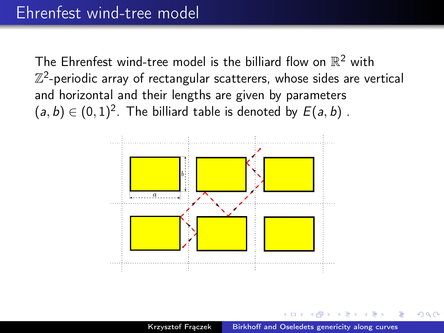The Ehrenfest wind-tree model is the billiard flow on  $\mathbb{R}^2$  with  $\mathbb{Z}^2$ -periodic array of rectangular scatterers, whose sides are vertical and horizontal and their lengths are given by parameters  $(a, b) \in (0, 1)^2$ . The billiard table is denoted by  $E(a, b)$  .



 $\Omega$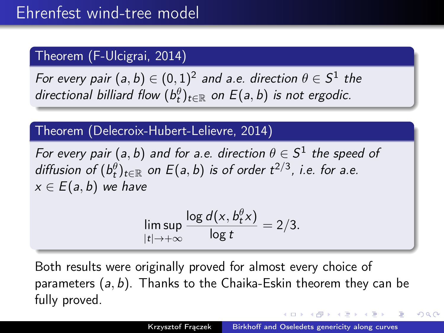### Theorem (F-Ulcigrai, 2014)

For every pair  $(\mathsf{a},\mathsf{b}) \in (0,1)^2$  and a.e. direction  $\theta \in \mathsf{S}^1$  the directional billiard flow  $(b^{\theta}_t)_{t\in \mathbb{R}}$  on  $E(a,b)$  is not ergodic.

### Theorem (Delecroix-Hubert-Lelievre, 2014)

For every pair  $(a, b)$  and for a.e. direction  $\theta \in \mathcal{S}^1$  the speed of diffusion of  $(b_t^{\theta})_{t\in\mathbb{R}}$  on  $E(a,b)$  is of order  $t^{2/3}$ , i.e. for a.e.  $x \in E(a, b)$  we have

$$
\limsup_{|t|\to+\infty}\frac{\log d(x,b_t^{\theta}x)}{\log t}=2/3.
$$

Both results were originally proved for almost every choice of parameters (a, b). Thanks to the Chaika-Eskin theorem they can be fully proved.

A . . 3 . . 3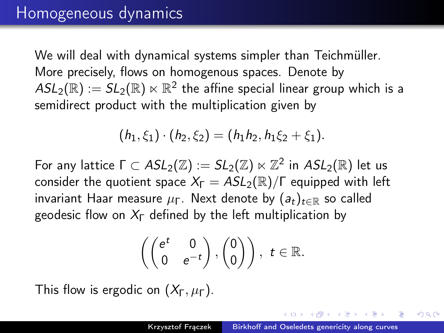We will deal with dynamical systems simpler than Teichmüller. More precisely, flows on homogenous spaces. Denote by  $\mathcal{ASL}_2(\mathbb R):= \mathcal{SL}_2(\mathbb R)\ltimes \mathbb R^2$  the affine special linear group which is a semidirect product with the multiplication given by

$$
(h_1,\xi_1)\cdot(h_2,\xi_2)=(h_1h_2,h_1\xi_2+\xi_1).
$$

For any lattice  $\Gamma\subset ASL_2(\mathbb Z):=SL_2(\mathbb Z)\ltimes \mathbb Z^2$  in  $ASL_2(\mathbb R)$  let us consider the quotient space  $X_{\Gamma} = ASL_2(\mathbb{R})/\Gamma$  equipped with left invariant Haar measure  $\mu_{\Gamma}$ . Next denote by  $(a_t)_{t\in\mathbb{R}}$  so called geodesic flow on  $X_{\Gamma}$  defined by the left multiplication by

<span id="page-7-0"></span>
$$
\left(\begin{pmatrix}e^t&0\\0&e^{-t}\end{pmatrix},\begin{pmatrix}0\\0\end{pmatrix}\right),\ t\in\mathbb{R}.
$$

This flow is ergodic on  $(X_{\Gamma}, \mu_{\Gamma})$ .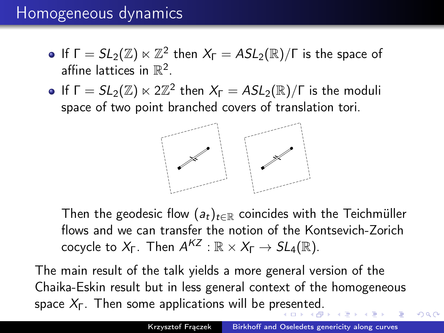### Homogeneous dynamics

- If  $\Gamma = SL_2(\mathbb{Z}) \ltimes \mathbb{Z}^2$  then  $X_{\Gamma} = ASL_2(\mathbb{R})/\Gamma$  is the space of affine lattices in  $\mathbb{R}^2$ .
- If  $\Gamma = SL_2(\mathbb{Z}) \ltimes 2\mathbb{Z}^2$  then  $X_{\Gamma} = ASL_2(\mathbb{R})/\Gamma$  is the moduli space of two point branched covers of translation tori.

<span id="page-8-0"></span>

Then the geodesic flow  $(a_t)_{t \in \mathbb{R}}$  coincides with the Teichmüller flows and we can transfer the notion of the Kontsevich-Zorich cocycle to  $X_{\mathsf{F}}$ . Then  $\mathcal{A}^{\mathcal{K}\mathcal{Z}}:\mathbb{R}\times X_{\mathsf{F}}\to SL_4(\mathbb{R})$ .

The main result of the talk yields a more general version of the Chaika-Eskin result but in less general context of the homogeneous spac[e](#page-7-0)  $X_{\Gamma}$ . Then some applications will be pr[es](#page-7-0)e[nt](#page-9-0)e[d.](#page-8-0)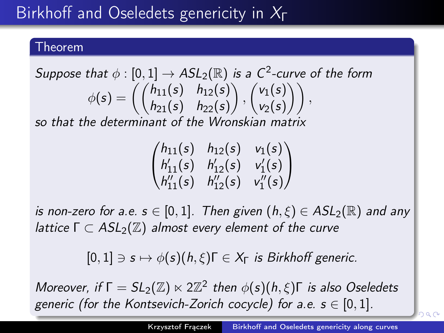# Birkhoff and Oseledets genericity in  $X_{\Gamma}$

#### Theorem

Suppose that 
$$
\phi : [0, 1] \rightarrow ASL_2(\mathbb{R})
$$
 is a C<sup>2</sup>-curve of the form  
\n
$$
\phi(s) = \left( \begin{pmatrix} h_{11}(s) & h_{12}(s) \\ h_{21}(s) & h_{22}(s) \end{pmatrix}, \begin{pmatrix} v_1(s) \\ v_2(s) \end{pmatrix} \right),
$$
\nso that the determinant of the Miverposition matrix.

so that the determinant of the Wronskian matrix

| $/h_{11}(s)$              | $h_{12}(s)$   | $v_1(s)$   |
|---------------------------|---------------|------------|
| $h'_{11}(s)$              | $h'_{12}(s)$  | $v'_1(s)$  |
| $\big\langle h''_{11}(s)$ | $h''_{12}(s)$ | $v''_1(s)$ |

is non-zero for a.e.  $s \in [0,1]$ . Then given  $(h,\xi) \in ASL_2(\mathbb{R})$  and any lattice  $\Gamma \subset ASL_2(\mathbb{Z})$  almost every element of the curve

 $[0, 1] \ni s \mapsto \phi(s)(h, \xi) \Gamma \in X_{\Gamma}$  is Birkhoff generic.

Moreover, if  $\Gamma = SL_2(\mathbb{Z}) \ltimes 2\mathbb{Z}^2$  then  $\phi(s)(h,\xi)\Gamma$  is also Oseledets generic ([for](#page-8-0) the Kontsevich-Zorich cocycle) for [a.](#page-10-0)[e.](#page-8-0)  $s \in [0, 1]$  $s \in [0, 1]$  $s \in [0, 1]$  $s \in [0, 1]$  $s \in [0, 1]$  $s \in [0, 1]$  $s \in [0, 1]$ [.](#page-0-0)

<span id="page-9-0"></span> $2990$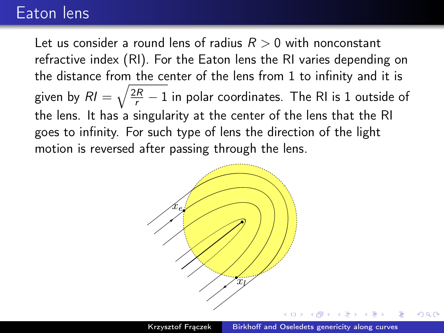### Eaton lens

Let us consider a round lens of radius  $R > 0$  with nonconstant refractive index (RI). For the Eaton lens the RI varies depending on the distance from the center of the lens from 1 to infinity and it is given by  $\mathcal{R}l=\sqrt{\frac{2R}{r}-1}$  in polar coordinates. The RI is 1 outside of the lens. It has a singularity at the center of the lens that the RI goes to infinity. For such type of lens the direction of the light motion is reversed after passing through the lens.

<span id="page-10-0"></span>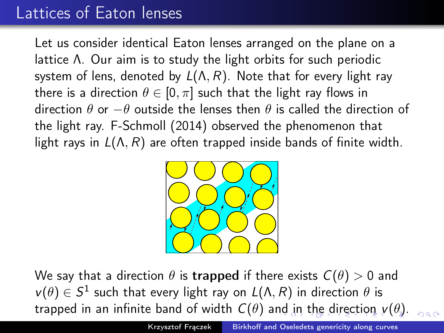## Lattices of Eaton lenses

Let us consider identical Eaton lenses arranged on the plane on a lattice Λ. Our aim is to study the light orbits for such periodic system of lens, denoted by  $L(\Lambda, R)$ . Note that for every light ray there is a direction  $\theta \in [0, \pi]$  such that the light ray flows in direction  $\theta$  or  $-\theta$  outside the lenses then  $\theta$  is called the direction of the light ray. F-Schmoll (2014) observed the phenomenon that light rays in  $L(\Lambda, R)$  are often trapped inside bands of finite width.

<span id="page-11-0"></span>

We say that a direction  $\theta$  is trapped if there exists  $C(\theta) > 0$  and  $v(\theta) \in S^1$  such that every light ray on  $L(\Lambda, R)$  in direction  $\theta$  is trapped in an infinite ba[nd](#page-10-0) of width  $C(\theta)$  $C(\theta)$  $C(\theta)$  $C(\theta)$  a[n](#page-12-0)d in [t](#page-10-0)he [d](#page-12-0)[ire](#page-0-0)[ct](#page-17-0)[ion](#page-0-0)  $v(\theta)$  $v(\theta)$ .  $000$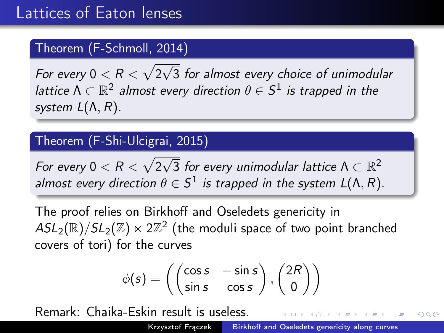### Theorem (F-Schmoll, 2014)

For every  $0 < R < \sqrt{2}$ √ 3 for almost every choice of unimodular lattice  $\Lambda \subset \mathbb{R}^2$  almost every direction  $\theta \in \mathcal{S}^1$  is trapped in the system  $L(\Lambda, R)$ .

#### Theorem (F-Shi-Ulcigrai, 2015)

For every  $0 < R < \sqrt{2}$  $\overline{\sqrt{3}}$  for every unimodular lattice  $\Lambda \subset \mathbb{R}^2$ almost every direction  $\theta \in S^1$  is trapped in the system  $L(\Lambda,R)$ .

The proof relies on Birkhoff and Oseledets genericity in  $ASL_2(\mathbb{R})/SL_2(\mathbb{Z}) \ltimes 2 \mathbb{Z}^2$  (the moduli space of two point branched covers of tori) for the curves

<span id="page-12-0"></span>
$$
\phi(s) = \left( \begin{pmatrix} \cos s & -\sin s \\ \sin s & \cos s \end{pmatrix}, \begin{pmatrix} 2R \\ 0 \end{pmatrix} \right)
$$

Remark: Chaika-Eskin result is useless.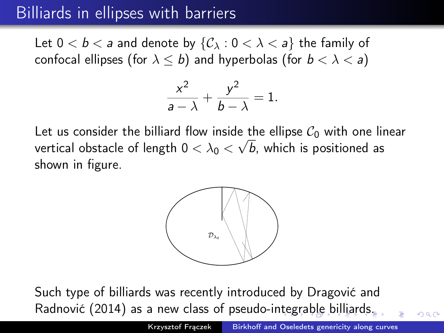## Billiards in ellipses with barriers

Let  $0 < b < a$  and denote by  $\{C_{\lambda} : 0 < \lambda < a\}$  the family of confocal ellipses (for  $\lambda \leq b$ ) and hyperbolas (for  $b < \lambda < a$ )

$$
\frac{x^2}{a-\lambda}+\frac{y^2}{b-\lambda}=1.
$$

Let us consider the billiard flow inside the ellipse  $\mathcal{C}_0$  with one linear vertical obstacle of length  $0<\lambda_0<\surd\,b$ , which is positioned as shown in figure.

<span id="page-13-0"></span>

Such type of billiards was recently introduced by Dragović and Radnović (2014) as a new class of pseudo-i[nte](#page-12-0)[gra](#page-14-0)[b](#page-12-0)[le](#page-13-0) [b](#page-14-0)[illi](#page-0-0)[ar](#page-17-0)[ds.](#page-0-0)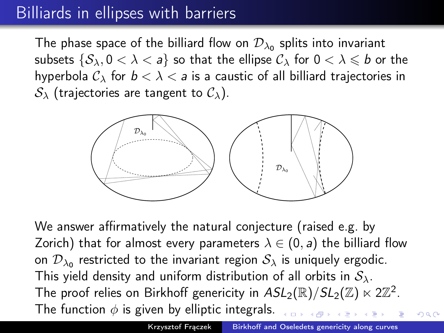## Billiards in ellipses with barriers

The phase space of the billiard flow on  $\mathcal{D}_{\lambda_0}$  splits into invariant subsets  $\{S_\lambda, 0 < \lambda < a\}$  so that the ellipse  $\mathcal{C}_\lambda$  for  $0 < \lambda \leq b$  or the hyperbola  $C_{\lambda}$  for  $b < \lambda < a$  is a caustic of all billiard trajectories in  $S_{\lambda}$  (trajectories are tangent to  $\mathcal{C}_{\lambda}$ ).



We answer affirmatively the natural conjecture (raised e.g. by Zorich) that for almost every parameters  $\lambda \in (0, a)$  the billiard flow on  $\mathcal{D}_{\lambda_0}$  restricted to the invariant region  $\mathcal{S}_\lambda$  is uniquely ergodic. This yield density and uniform distribution of all orbits in  $S_\lambda$ . The proof relies on Birkhoff genericity in  $ASL_2(\mathbb{R})/SL_2(\mathbb{Z}) \ltimes 2\mathbb{Z}^2$ . The function  $\phi$  is given by elliptic integrals.

<span id="page-14-0"></span> $290$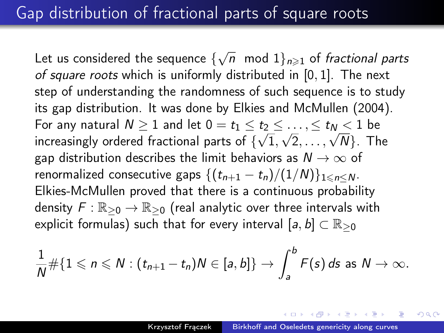Let us considered the sequence  $\{\sqrt{n}\mod 1\}_{n\geqslant 1}$  of *fractional parts* of square roots which is uniformly distributed in [0, 1]. The next step of understanding the randomness of such sequence is to study its gap distribution. It was done by Elkies and McMullen (2004). For any natural  $N \geq 1$  and let  $0 = t_1 \leq t_2 \leq \ldots, \leq t_N < 1$  be For any natural  $N \ge 1$  and let  $0 = t_1 \le t_2 \le \dots, \le t_N \le 1$  be<br>increasingly ordered fractional parts of  $\{\sqrt{1}, \sqrt{2}, \dots, \sqrt{N}\}$ . The gap distribution describes the limit behaviors as  $N \to \infty$  of renormalized consecutive gaps  $\{(t_{n+1} - t_n)/(1/N)\}_{1 \le n \le N}$ . Elkies-McMullen proved that there is a continuous probability density  $F: \mathbb{R}_{\geq 0} \to \mathbb{R}_{\geq 0}$  (real analytic over three intervals with explicit formulas) such that for every interval  $[a, b] \subset \mathbb{R}_{\geq 0}$ 

$$
\frac{1}{N} \# \{1 \leqslant n \leqslant N : (t_{n+1}-t_n)N \in [a,b]\} \to \int_a^b F(s) \, ds \text{ as } N \to \infty.
$$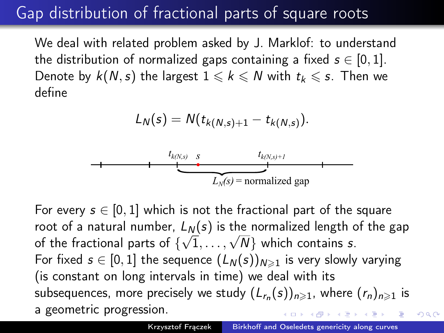## Gap distribution of fractional parts of square roots

We deal with related problem asked by J. Marklof: to understand the distribution of normalized gaps containing a fixed  $s \in [0, 1]$ . Denote by  $k(N, s)$  the largest  $1 \leq k \leq N$  with  $t_k \leq s$ . Then we define

$$
L_N(s) = N(t_{k(N,s)+1} - t_{k(N,s)}).
$$



For every  $s \in [0, 1]$  which is not the fractional part of the square root of a natural number,  $L_N(s)$  is the normalized length of the gap root or a natural number,  $L_N(s)$  is the normalized length  $\zeta$  of the fractional parts of  $\{\sqrt{1}, \ldots, \sqrt{N}\}$  which contains s. For fixed  $s \in [0, 1]$  the sequence  $(L_N(s))_{N \geq 1}$  is very slowly varying (is constant on long intervals in time) we deal with its subsequences, more precisely we study  $(L_{r_n}(s))_{n\geqslant1}$ , where  $(r_n)_{n\geqslant1}$  is a geometric progression.

 $QQ$